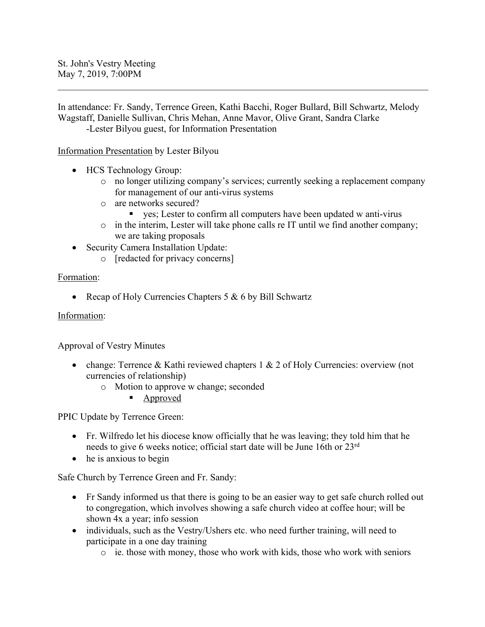In attendance: Fr. Sandy, Terrence Green, Kathi Bacchi, Roger Bullard, Bill Schwartz, Melody Wagstaff, Danielle Sullivan, Chris Mehan, Anne Mavor, Olive Grant, Sandra Clarke -Lester Bilyou guest, for Information Presentation

Information Presentation by Lester Bilyou

- HCS Technology Group:
	- o no longer utilizing company's services; currently seeking a replacement company for management of our anti-virus systems
	- o are networks secured?
		- yes; Lester to confirm all computers have been updated w anti-virus
	- o in the interim, Lester will take phone calls re IT until we find another company; we are taking proposals
- Security Camera Installation Update:
	- o [redacted for privacy concerns]

Formation:

• Recap of Holy Currencies Chapters  $5 & 6$  by Bill Schwartz

#### Information:

Approval of Vestry Minutes

- change: Terrence & Kathi reviewed chapters 1 & 2 of Holy Currencies: overview (not currencies of relationship)
	- o Motion to approve w change; seconded
		- § Approved

PPIC Update by Terrence Green:

- Fr. Wilfredo let his diocese know officially that he was leaving; they told him that he needs to give 6 weeks notice; official start date will be June 16th or 23rd
- he is anxious to begin

Safe Church by Terrence Green and Fr. Sandy:

- Fr Sandy informed us that there is going to be an easier way to get safe church rolled out to congregation, which involves showing a safe church video at coffee hour; will be shown 4x a year; info session
- individuals, such as the Vestry/Ushers etc. who need further training, will need to participate in a one day training
	- o ie. those with money, those who work with kids, those who work with seniors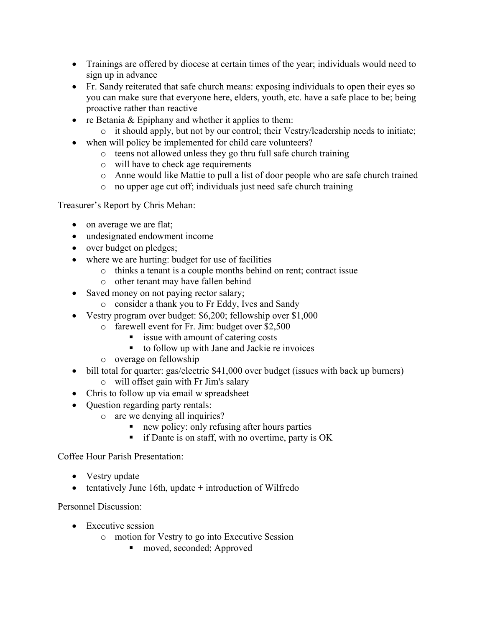- Trainings are offered by diocese at certain times of the year; individuals would need to sign up in advance
- Fr. Sandy reiterated that safe church means: exposing individuals to open their eyes so you can make sure that everyone here, elders, youth, etc. have a safe place to be; being proactive rather than reactive
- re Betania & Epiphany and whether it applies to them:
	- o it should apply, but not by our control; their Vestry/leadership needs to initiate;
- when will policy be implemented for child care volunteers?
	- o teens not allowed unless they go thru full safe church training
	- o will have to check age requirements
	- o Anne would like Mattie to pull a list of door people who are safe church trained
	- o no upper age cut off; individuals just need safe church training

Treasurer's Report by Chris Mehan:

- on average we are flat;
- undesignated endowment income
- over budget on pledges;
- where we are hurting: budget for use of facilities
	- o thinks a tenant is a couple months behind on rent; contract issue
	- o other tenant may have fallen behind
- Saved money on not paying rector salary;
	- o consider a thank you to Fr Eddy, Ives and Sandy
- Vestry program over budget: \$6,200; fellowship over \$1,000
	- o farewell event for Fr. Jim: budget over \$2,500
		- issue with amount of catering costs
		- to follow up with Jane and Jackie re invoices
	- o overage on fellowship
- bill total for quarter: gas/electric \$41,000 over budget (issues with back up burners)
	- o will offset gain with Fr Jim's salary
- Chris to follow up via email w spreadsheet
- Question regarding party rentals:
	- o are we denying all inquiries?
		- new policy: only refusing after hours parties
		- if Dante is on staff, with no overtime, party is OK

## Coffee Hour Parish Presentation:

- Vestry update
- $\bullet$  tentatively June 16th, update  $+$  introduction of Wilfredo

Personnel Discussion:

- Executive session
	- o motion for Vestry to go into Executive Session
		- moved, seconded; Approved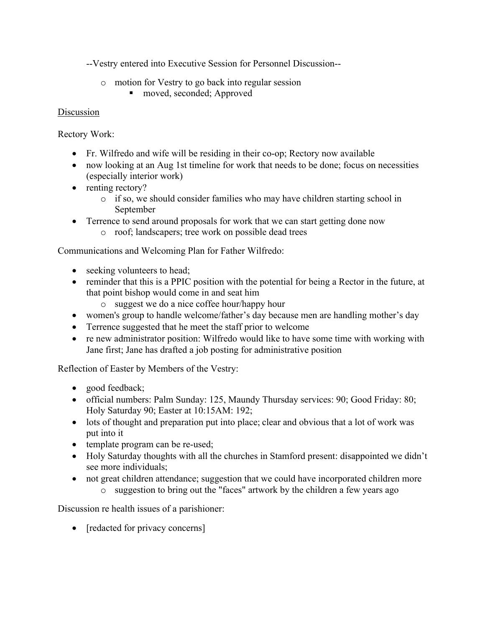--Vestry entered into Executive Session for Personnel Discussion--

- o motion for Vestry to go back into regular session
	- moved, seconded; Approved

# Discussion

Rectory Work:

- Fr. Wilfredo and wife will be residing in their co-op; Rectory now available
- now looking at an Aug 1st timeline for work that needs to be done; focus on necessities (especially interior work)
- renting rectory?
	- o if so, we should consider families who may have children starting school in September
- Terrence to send around proposals for work that we can start getting done now o roof; landscapers; tree work on possible dead trees

Communications and Welcoming Plan for Father Wilfredo:

- seeking volunteers to head;
- reminder that this is a PPIC position with the potential for being a Rector in the future, at that point bishop would come in and seat him
	- o suggest we do a nice coffee hour/happy hour
- women's group to handle welcome/father's day because men are handling mother's day
- Terrence suggested that he meet the staff prior to welcome
- re new administrator position: Wilfredo would like to have some time with working with Jane first; Jane has drafted a job posting for administrative position

Reflection of Easter by Members of the Vestry:

- good feedback;
- official numbers: Palm Sunday: 125, Maundy Thursday services: 90; Good Friday: 80; Holy Saturday 90; Easter at 10:15AM: 192;
- lots of thought and preparation put into place; clear and obvious that a lot of work was put into it
- template program can be re-used;
- Holy Saturday thoughts with all the churches in Stamford present: disappointed we didn't see more individuals;
- not great children attendance; suggestion that we could have incorporated children more o suggestion to bring out the "faces" artwork by the children a few years ago

Discussion re health issues of a parishioner:

• [redacted for privacy concerns]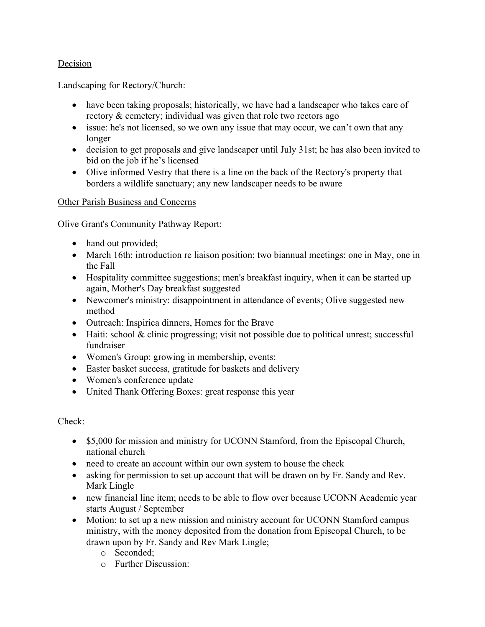## Decision

Landscaping for Rectory/Church:

- have been taking proposals; historically, we have had a landscaper who takes care of rectory & cemetery; individual was given that role two rectors ago
- issue: he's not licensed, so we own any issue that may occur, we can't own that any longer
- decision to get proposals and give landscaper until July 31st; he has also been invited to bid on the job if he's licensed
- Olive informed Vestry that there is a line on the back of the Rectory's property that borders a wildlife sanctuary; any new landscaper needs to be aware

## Other Parish Business and Concerns

Olive Grant's Community Pathway Report:

- hand out provided;
- March 16th: introduction re liaison position; two biannual meetings: one in May, one in the Fall
- Hospitality committee suggestions; men's breakfast inquiry, when it can be started up again, Mother's Day breakfast suggested
- Newcomer's ministry: disappointment in attendance of events; Olive suggested new method
- Outreach: Inspirica dinners, Homes for the Brave
- Haiti: school  $\&$  clinic progressing; visit not possible due to political unrest; successful fundraiser
- Women's Group: growing in membership, events;
- Easter basket success, gratitude for baskets and delivery
- Women's conference update
- United Thank Offering Boxes: great response this year

Check:

- \$5,000 for mission and ministry for UCONN Stamford, from the Episcopal Church, national church
- need to create an account within our own system to house the check
- asking for permission to set up account that will be drawn on by Fr. Sandy and Rev. Mark Lingle
- new financial line item; needs to be able to flow over because UCONN Academic year starts August / September
- Motion: to set up a new mission and ministry account for UCONN Stamford campus ministry, with the money deposited from the donation from Episcopal Church, to be drawn upon by Fr. Sandy and Rev Mark Lingle;
	- o Seconded;
	- o Further Discussion: